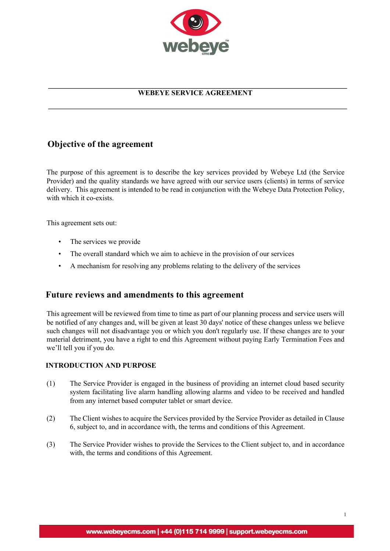

# **WEBEYE SERVICE AGREEMENT**

# **Objective of the agreement**

The purpose of this agreement is to describe the key services provided by Webeye Ltd (the Service Provider) and the quality standards we have agreed with our service users (clients) in terms of service delivery. This agreement is intended to be read in conjunction with the Webeye Data Protection Policy, with which it co-exists.

This agreement sets out:

- The services we provide
- The overall standard which we aim to achieve in the provision of our services
- A mechanism for resolving any problems relating to the delivery of the services

# **Future reviews and amendments to this agreement**

This agreement will be reviewed from time to time as part of our planning process and service users will be notified of any changes and, will be given at least 30 days' notice of these changes unless we believe such changes will not disadvantage you or which you don't regularly use. If these changes are to your material detriment, you have a right to end this Agreement without paying Early Termination Fees and we'll tell you if you do.

## **INTRODUCTION AND PURPOSE**

- (1) The Service Provider is engaged in the business of providing an internet cloud based security system facilitating live alarm handling allowing alarms and video to be received and handled from any internet based computer tablet or smart device.
- (2) The Client wishes to acquire the Services provided by the Service Provider as detailed in Clause 6, subject to, and in accordance with, the terms and conditions of this Agreement.
- (3) The Service Provider wishes to provide the Services to the Client subject to, and in accordance with, the terms and conditions of this Agreement.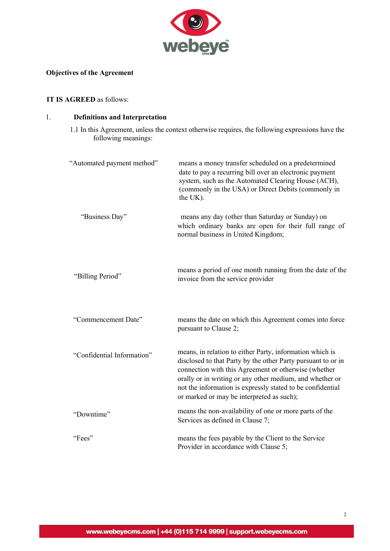

# **Objectives of the Agreement**

## **IT IS AGREED** as follows:

# 1. **Definitions and Interpretation**

1.1 In this Agreement, unless the context otherwise requires, the following expressions have the following meanings:

| "Automated payment method" | means a money transfer scheduled on a predetermined<br>date to pay a recurring bill over an electronic payment<br>system, such as the Automated Clearing House (ACH),<br>(commonly in the USA) or Direct Debits (commonly in<br>the UK).                                                                                                                |
|----------------------------|---------------------------------------------------------------------------------------------------------------------------------------------------------------------------------------------------------------------------------------------------------------------------------------------------------------------------------------------------------|
| "Business Day"             | means any day (other than Saturday or Sunday) on<br>which ordinary banks are open for their full range of<br>normal business in United Kingdom;                                                                                                                                                                                                         |
| "Billing Period"           | means a period of one month running from the date of the<br>invoice from the service provider                                                                                                                                                                                                                                                           |
| "Commencement Date"        | means the date on which this Agreement comes into force<br>pursuant to Clause 2;                                                                                                                                                                                                                                                                        |
| "Confidential Information" | means, in relation to either Party, information which is<br>disclosed to that Party by the other Party pursuant to or in<br>connection with this Agreement or otherwise (whether<br>orally or in writing or any other medium, and whether or<br>not the information is expressly stated to be confidential<br>or marked or may be interpreted as such); |
| "Downtime"                 | means the non-availability of one or more parts of the<br>Services as defined in Clause 7;                                                                                                                                                                                                                                                              |
| "Fees"                     | means the fees payable by the Client to the Service<br>Provider in accordance with Clause 5;                                                                                                                                                                                                                                                            |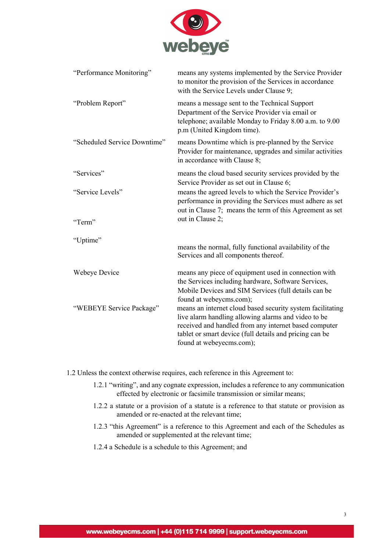

| "Performance Monitoring"     | means any systems implemented by the Service Provider<br>to monitor the provision of the Services in accordance<br>with the Service Levels under Clause 9;                                                                                                        |
|------------------------------|-------------------------------------------------------------------------------------------------------------------------------------------------------------------------------------------------------------------------------------------------------------------|
| "Problem Report"             | means a message sent to the Technical Support<br>Department of the Service Provider via email or<br>telephone; available Monday to Friday 8.00 a.m. to 9.00<br>p.m (United Kingdom time).                                                                         |
| "Scheduled Service Downtime" | means Downtime which is pre-planned by the Service<br>Provider for maintenance, upgrades and similar activities<br>in accordance with Clause 8;                                                                                                                   |
| "Services"                   | means the cloud based security services provided by the<br>Service Provider as set out in Clause 6;                                                                                                                                                               |
| "Service Levels"             | means the agreed levels to which the Service Provider's<br>performance in providing the Services must adhere as set<br>out in Clause 7; means the term of this Agreement as set                                                                                   |
| "Term"                       | out in Clause 2;                                                                                                                                                                                                                                                  |
| "Uptime"                     | means the normal, fully functional availability of the<br>Services and all components thereof.                                                                                                                                                                    |
| Webeye Device                | means any piece of equipment used in connection with<br>the Services including hardware, Software Services,<br>Mobile Devices and SIM Services (full details can be<br>found at webeycms.com);                                                                    |
| "WEBEYE Service Package"     | means an internet cloud based security system facilitating<br>live alarm handling allowing alarms and video to be<br>received and handled from any internet based computer<br>tablet or smart device (full details and pricing can be<br>found at webeyecms.com); |

1.2 Unless the context otherwise requires, each reference in this Agreement to:

- 1.2.1 "writing", and any cognate expression, includes a reference to any communication effected by electronic or facsimile transmission or similar means;
- 1.2.2 a statute or a provision of a statute is a reference to that statute or provision as amended or re-enacted at the relevant time;
- 1.2.3 "this Agreement" is a reference to this Agreement and each of the Schedules as amended or supplemented at the relevant time;
- 1.2.4 a Schedule is a schedule to this Agreement; and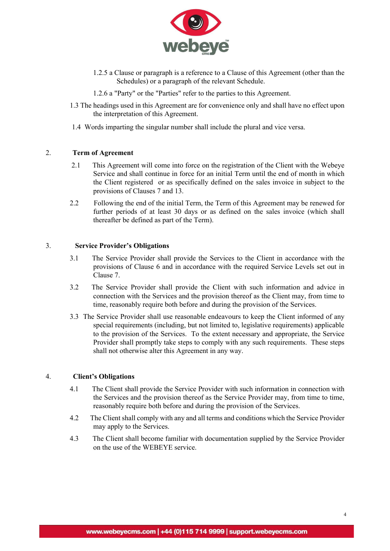

- 1.2.5 a Clause or paragraph is a reference to a Clause of this Agreement (other than the Schedules) or a paragraph of the relevant Schedule.
- 1.2.6 a "Party" or the "Parties" refer to the parties to this Agreement.
- 1.3 The headings used in this Agreement are for convenience only and shall have no effect upon the interpretation of this Agreement.
- 1.4 Words imparting the singular number shall include the plural and vice versa.

## 2. **Term of Agreement**

- 2.1 This Agreement will come into force on the registration of the Client with the Webeye Service and shall continue in force for an initial Term until the end of month in which the Client registered or as specifically defined on the sales invoice in subject to the provisions of Clauses 7 and 13.
- 2.2 Following the end of the initial Term, the Term of this Agreement may be renewed for further periods of at least 30 days or as defined on the sales invoice (which shall thereafter be defined as part of the Term).

#### 3. **Service Provider's Obligations**

- 3.1 The Service Provider shall provide the Services to the Client in accordance with the provisions of Clause 6 and in accordance with the required Service Levels set out in Clause 7.
- 3.2 The Service Provider shall provide the Client with such information and advice in connection with the Services and the provision thereof as the Client may, from time to time, reasonably require both before and during the provision of the Services.
- 3.3 The Service Provider shall use reasonable endeavours to keep the Client informed of any special requirements (including, but not limited to, legislative requirements) applicable to the provision of the Services. To the extent necessary and appropriate, the Service Provider shall promptly take steps to comply with any such requirements. These steps shall not otherwise alter this Agreement in any way.

## 4. **Client's Obligations**

- 4.1 The Client shall provide the Service Provider with such information in connection with the Services and the provision thereof as the Service Provider may, from time to time, reasonably require both before and during the provision of the Services.
- 4.2 The Client shall comply with any and all terms and conditions which the Service Provider may apply to the Services.
- 4.3 The Client shall become familiar with documentation supplied by the Service Provider on the use of the WEBEYE service.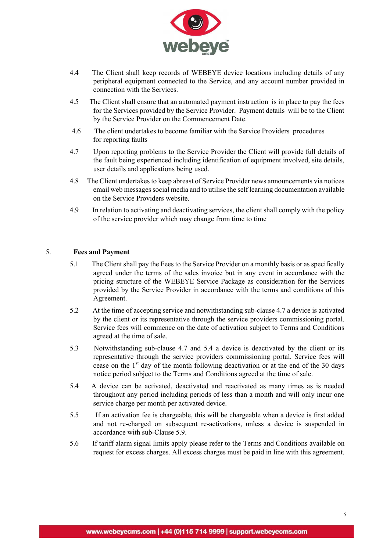

- 4.4 The Client shall keep records of WEBEYE device locations including details of any peripheral equipment connected to the Service, and any account number provided in connection with the Services.
- 4.5 The Client shall ensure that an automated payment instruction is in place to pay the fees for the Services provided by the Service Provider. Payment details will be to the Client by the Service Provider on the Commencement Date.
- 4.6 The client undertakes to become familiar with the Service Providers procedures for reporting faults
- 4.7 Upon reporting problems to the Service Provider the Client will provide full details of the fault being experienced including identification of equipment involved, site details, user details and applications being used.
- 4.8 The Client undertakes to keep abreast of Service Provider news announcements via notices email web messages social media and to utilise the self learning documentation available on the Service Providers website.
- 4.9 In relation to activating and deactivating services, the client shall comply with the policy of the service provider which may change from time to time

## 5. **Fees and Payment**

- 5.1 The Client shall pay the Fees to the Service Provider on a monthly basis or as specifically agreed under the terms of the sales invoice but in any event in accordance with the pricing structure of the WEBEYE Service Package as consideration for the Services provided by the Service Provider in accordance with the terms and conditions of this Agreement.
- 5.2 At the time of accepting service and notwithstanding sub-clause 4.7 a device is activated by the client or its representative through the service providers commissioning portal. Service fees will commence on the date of activation subject to Terms and Conditions agreed at the time of sale.
- 5.3 Notwithstanding sub-clause 4.7 and 5.4 a device is deactivated by the client or its representative through the service providers commissioning portal. Service fees will cease on the  $1<sup>st</sup>$  day of the month following deactivation or at the end of the 30 days notice period subject to the Terms and Conditions agreed at the time of sale.
- 5.4 A device can be activated, deactivated and reactivated as many times as is needed throughout any period including periods of less than a month and will only incur one service charge per month per activated device.
- 5.5 If an activation fee is chargeable, this will be chargeable when a device is first added and not re-charged on subsequent re-activations, unless a device is suspended in accordance with sub-Clause 5.9.
- 5.6 If tariff alarm signal limits apply please refer to the Terms and Conditions available on request for excess charges. All excess charges must be paid in line with this agreement.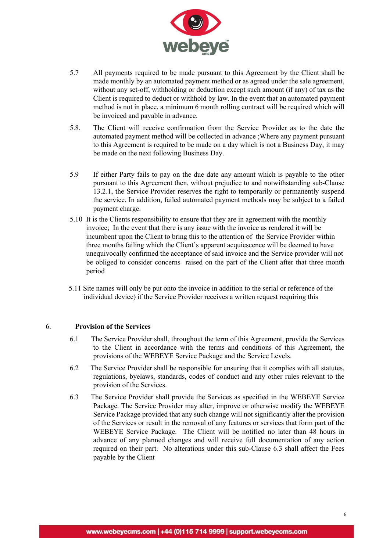

- 5.7 All payments required to be made pursuant to this Agreement by the Client shall be made monthly by an automated payment method or as agreed under the sale agreement, without any set-off, withholding or deduction except such amount (if any) of tax as the Client is required to deduct or withhold by law. In the event that an automated payment method is not in place, a minimum 6 month rolling contract will be required which will be invoiced and payable in advance.
- 5.8. The Client will receive confirmation from the Service Provider as to the date the automated payment method will be collected in advance ;Where any payment pursuant to this Agreement is required to be made on a day which is not a Business Day, it may be made on the next following Business Day.
- 5.9 If either Party fails to pay on the due date any amount which is payable to the other pursuant to this Agreement then, without prejudice to and notwithstanding sub-Clause 13.2.1, the Service Provider reserves the right to temporarily or permanently suspend the service. In addition, failed automated payment methods may be subject to a failed payment charge.
- 5.10 It is the Clients responsibility to ensure that they are in agreement with the monthly invoice; In the event that there is any issue with the invoice as rendered it will be incumbent upon the Client to bring this to the attention of the Service Provider within three months failing which the Client's apparent acquiescence will be deemed to have unequivocally confirmed the acceptance of said invoice and the Service provider will not be obliged to consider concerns raised on the part of the Client after that three month period
- 5.11 Site names will only be put onto the invoice in addition to the serial or reference of the individual device) if the Service Provider receives a written request requiring this

# 6. **Provision of the Services**

- 6.1 The Service Provider shall, throughout the term of this Agreement, provide the Services to the Client in accordance with the terms and conditions of this Agreement, the provisions of the WEBEYE Service Package and the Service Levels.
- 6.2 The Service Provider shall be responsible for ensuring that it complies with all statutes, regulations, byelaws, standards, codes of conduct and any other rules relevant to the provision of the Services.
- 6.3 The Service Provider shall provide the Services as specified in the WEBEYE Service Package. The Service Provider may alter, improve or otherwise modify the WEBEYE Service Package provided that any such change will not significantly alter the provision of the Services or result in the removal of any features or services that form part of the WEBEYE Service Package. The Client will be notified no later than 48 hours in advance of any planned changes and will receive full documentation of any action required on their part. No alterations under this sub-Clause 6.3 shall affect the Fees payable by the Client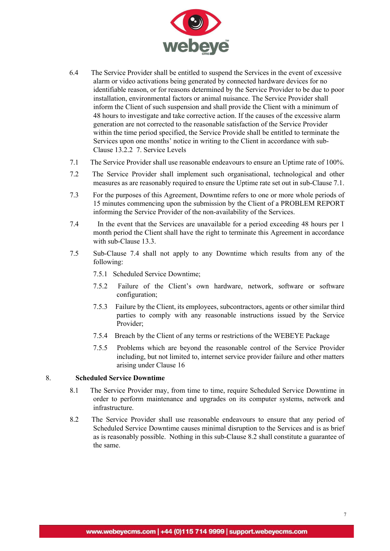

- 6.4 The Service Provider shall be entitled to suspend the Services in the event of excessive alarm or video activations being generated by connected hardware devices for no identifiable reason, or for reasons determined by the Service Provider to be due to poor installation, environmental factors or animal nuisance. The Service Provider shall inform the Client of such suspension and shall provide the Client with a minimum of 48 hours to investigate and take corrective action. If the causes of the excessive alarm generation are not corrected to the reasonable satisfaction of the Service Provider within the time period specified, the Service Provide shall be entitled to terminate the Services upon one months' notice in writing to the Client in accordance with sub-Clause 13.2.2 7. Service Levels
- 7.1 The Service Provider shall use reasonable endeavours to ensure an Uptime rate of 100%.
- 7.2 The Service Provider shall implement such organisational, technological and other measures as are reasonably required to ensure the Uptime rate set out in sub-Clause 7.1.
- 7.3 For the purposes of this Agreement, Downtime refers to one or more whole periods of 15 minutes commencing upon the submission by the Client of a PROBLEM REPORT informing the Service Provider of the non-availability of the Services.
- 7.4 In the event that the Services are unavailable for a period exceeding 48 hours per 1 month period the Client shall have the right to terminate this Agreement in accordance with sub-Clause 13.3.
- 7.5 Sub-Clause 7.4 shall not apply to any Downtime which results from any of the following:
	- 7.5.1 Scheduled Service Downtime;
	- 7.5.2 Failure of the Client's own hardware, network, software or software configuration;
	- 7.5.3 Failure by the Client, its employees, subcontractors, agents or other similar third parties to comply with any reasonable instructions issued by the Service Provider;
	- 7.5.4 Breach by the Client of any terms or restrictions of the WEBEYE Package
	- 7.5.5 Problems which are beyond the reasonable control of the Service Provider including, but not limited to, internet service provider failure and other matters arising under Clause 16

## 8. **Scheduled Service Downtime**

- 8.1 The Service Provider may, from time to time, require Scheduled Service Downtime in order to perform maintenance and upgrades on its computer systems, network and infrastructure.
- 8.2 The Service Provider shall use reasonable endeavours to ensure that any period of Scheduled Service Downtime causes minimal disruption to the Services and is as brief as is reasonably possible. Nothing in this sub-Clause 8.2 shall constitute a guarantee of the same.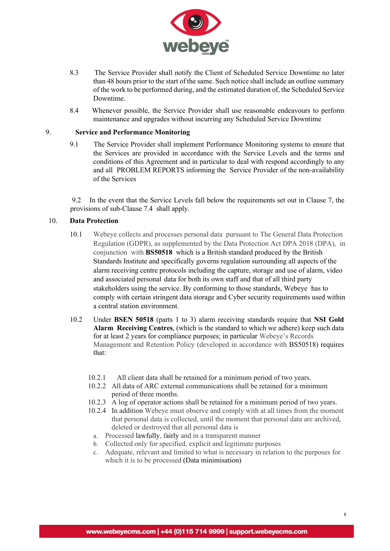

- 8.3 The Service Provider shall notify the Client of Scheduled Service Downtime no later than 48 hours prior to the start of the same. Such notice shall include an outline summary of the work to be performed during, and the estimated duration of, the Scheduled Service Downtime.
- 8.4 Whenever possible, the Service Provider shall use reasonable endeavours to perform maintenance and upgrades without incurring any Scheduled Service Downtime

#### 9. **Service and Performance Monitoring**

9.1 The Service Provider shall implement Performance Monitoring systems to ensure that the Services are provided in accordance with the Service Levels and the terms and conditions of this Agreement and in particular to deal with respond accordingly to any and all PROBLEM REPORTS informing the Service Provider of the non-availability of the Services

 9.2 In the event that the Service Levels fall below the requirements set out in Clause 7, the provisions of sub-Clause 7.4 shall apply.

## 10. **Data Protection**

- 10.1 Webeye collects and processes personal data pursuant to The General Data Protection Regulation (GDPR), as supplemented by the Data Protection Act DPA 2018 (DPA), in conjunction with **BS50518** which is a British standard produced by the British Standards Institute and specifically governs regulation surrounding all aspects of the alarm receiving centre protocols including the capture, storage and use of alarm, video and associated personal data for both its own staff and that of all third party stakeholders using the service. By conforming to those standards, Webeye has to comply with certain stringent data storage and Cyber security requirements used within a central station environment.
- 10.2 Under **BSEN 50518** (parts 1 to 3) alarm receiving standards require that **NSI Gold Alarm Receiving Centres**, (which is the standard to which we adhere) keep such data for at least 2 years for compliance purposes; in particular Webeye's Records Management and Retention Policy (developed in accordance with BS50518) requires that:
	- 10.2.1 All client data shall be retained for a minimum period of two years.
	- 10.2.2 All data of ARC external communications shall be retained for a minimum period of three months.
	- 10.2.3 A log of operator actions shall be retained for a minimum period of two years.
	- 10.2.4 In addition Webeye must observe and comply with at all times from the moment that personal data is collected, until the moment that personal data are archived, deleted or destroyed that all personal data is
	- a. Processed lawfully, fairly and in a transparent manner
	- b. Collected only for specified, explicit and legitimate purposes
	- c. Adequate, relevant and limited to what is necessary in relation to the purposes for which it is to be processed (Data minimisation)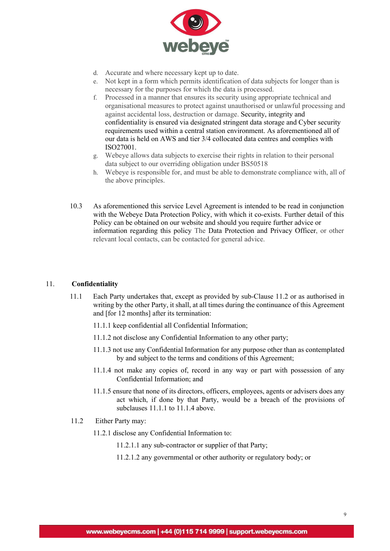

- d. Accurate and where necessary kept up to date.
- e. Not kept in a form which permits identification of data subjects for longer than is necessary for the purposes for which the data is processed.
- f. Processed in a manner that ensures its security using appropriate technical and organisational measures to protect against unauthorised or unlawful processing and against accidental loss, destruction or damage. Security, integrity and confidentiality is ensured via designated stringent data storage and Cyber security requirements used within a central station environment. As aforementioned all of our data is held on AWS and tier 3/4 collocated data centres and complies with ISO27001.
- g. Webeye allows data subjects to exercise their rights in relation to their personal data subject to our overriding obligation under BS50518
- h. Webeye is responsible for, and must be able to demonstrate compliance with, all of the above principles.
- 10.3 As aforementioned this service Level Agreement is intended to be read in conjunction with the Webeye Data Protection Policy, with which it co-exists. Further detail of this Policy can be obtained on our website and should you require further advice or information regarding this policy The Data Protection and Privacy Officer, or other relevant local contacts, can be contacted for general advice.

## 11. **Confidentiality**

- 11.1 Each Party undertakes that, except as provided by sub-Clause 11.2 or as authorised in writing by the other Party, it shall, at all times during the continuance of this Agreement and [for 12 months] after its termination:
	- 11.1.1 keep confidential all Confidential Information;
	- 11.1.2 not disclose any Confidential Information to any other party;
	- 11.1.3 not use any Confidential Information for any purpose other than as contemplated by and subject to the terms and conditions of this Agreement;
	- 11.1.4 not make any copies of, record in any way or part with possession of any Confidential Information; and
	- 11.1.5 ensure that none of its directors, officers, employees, agents or advisers does any act which, if done by that Party, would be a breach of the provisions of subclauses 11.1.1 to 11.1.4 above.
- 11.2 Either Party may:
	- 11.2.1 disclose any Confidential Information to:
		- 11.2.1.1 any sub-contractor or supplier of that Party;
		- 11.2.1.2 any governmental or other authority or regulatory body; or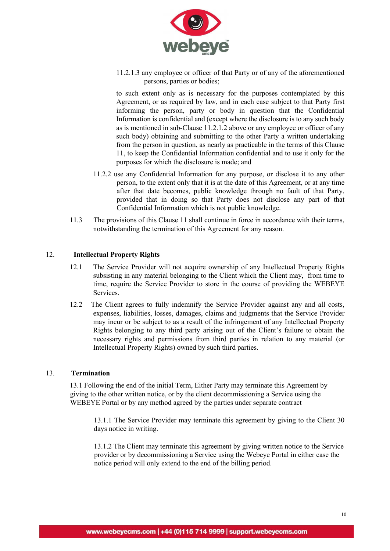

11.2.1.3 any employee or officer of that Party or of any of the aforementioned persons, parties or bodies;

to such extent only as is necessary for the purposes contemplated by this Agreement, or as required by law, and in each case subject to that Party first informing the person, party or body in question that the Confidential Information is confidential and (except where the disclosure is to any such body as is mentioned in sub-Clause 11.2.1.2 above or any employee or officer of any such body) obtaining and submitting to the other Party a written undertaking from the person in question, as nearly as practicable in the terms of this Clause 11, to keep the Confidential Information confidential and to use it only for the purposes for which the disclosure is made; and

- 11.2.2 use any Confidential Information for any purpose, or disclose it to any other person, to the extent only that it is at the date of this Agreement, or at any time after that date becomes, public knowledge through no fault of that Party, provided that in doing so that Party does not disclose any part of that Confidential Information which is not public knowledge.
- 11.3 The provisions of this Clause 11 shall continue in force in accordance with their terms, notwithstanding the termination of this Agreement for any reason.

## 12. **Intellectual Property Rights**

- 12.1 The Service Provider will not acquire ownership of any Intellectual Property Rights subsisting in any material belonging to the Client which the Client may, from time to time, require the Service Provider to store in the course of providing the WEBEYE Services.
- 12.2 The Client agrees to fully indemnify the Service Provider against any and all costs, expenses, liabilities, losses, damages, claims and judgments that the Service Provider may incur or be subject to as a result of the infringement of any Intellectual Property Rights belonging to any third party arising out of the Client's failure to obtain the necessary rights and permissions from third parties in relation to any material (or Intellectual Property Rights) owned by such third parties.

#### 13. **Termination**

13.1 Following the end of the initial Term, Either Party may terminate this Agreement by giving to the other written notice, or by the client decommissioning a Service using the WEBEYE Portal or by any method agreed by the parties under separate contract

13.1.1 The Service Provider may terminate this agreement by giving to the Client 30 days notice in writing.

13.1.2 The Client may terminate this agreement by giving written notice to the Service provider or by decommissioning a Service using the Webeye Portal in either case the notice period will only extend to the end of the billing period.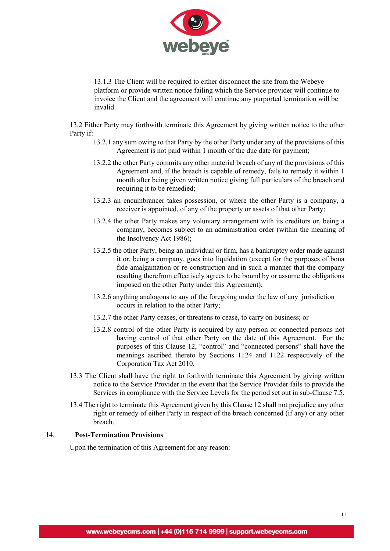

13.1.3 The Client will be required to either disconnect the site from the Webeye platform or provide written notice failing which the Service provider will continue to invoice the Client and the agreement will continue any purported termination will be invalid.

13.2 Either Party may forthwith terminate this Agreement by giving written notice to the other Party if:

- 13.2.1 any sum owing to that Party by the other Party under any of the provisions of this Agreement is not paid within 1 month of the due date for payment;
- 13.2.2 the other Party commits any other material breach of any of the provisions of this Agreement and, if the breach is capable of remedy, fails to remedy it within 1 month after being given written notice giving full particulars of the breach and requiring it to be remedied;
- 13.2.3 an encumbrancer takes possession, or where the other Party is a company, a receiver is appointed, of any of the property or assets of that other Party;
- 13.2.4 the other Party makes any voluntary arrangement with its creditors or, being a company, becomes subject to an administration order (within the meaning of the Insolvency Act 1986);
- 13.2.5 the other Party, being an individual or firm, has a bankruptcy order made against it or, being a company, goes into liquidation (except for the purposes of bona fide amalgamation or re-construction and in such a manner that the company resulting therefrom effectively agrees to be bound by or assume the obligations imposed on the other Party under this Agreement);
- 13.2.6 anything analogous to any of the foregoing under the law of any jurisdiction occurs in relation to the other Party;
- 13.2.7 the other Party ceases, or threatens to cease, to carry on business; or
- 13.2.8 control of the other Party is acquired by any person or connected persons not having control of that other Party on the date of this Agreement. For the purposes of this Clause 12, "control" and "connected persons" shall have the meanings ascribed thereto by Sections 1124 and 1122 respectively of the Corporation Tax Act 2010.
- 13.3 The Client shall have the right to forthwith terminate this Agreement by giving written notice to the Service Provider in the event that the Service Provider fails to provide the Services in compliance with the Service Levels for the period set out in sub-Clause 7.5.
- 13.4 The right to terminate this Agreement given by this Clause 12 shall not prejudice any other right or remedy of either Party in respect of the breach concerned (if any) or any other breach.

## 14. **Post-Termination Provisions**

Upon the termination of this Agreement for any reason: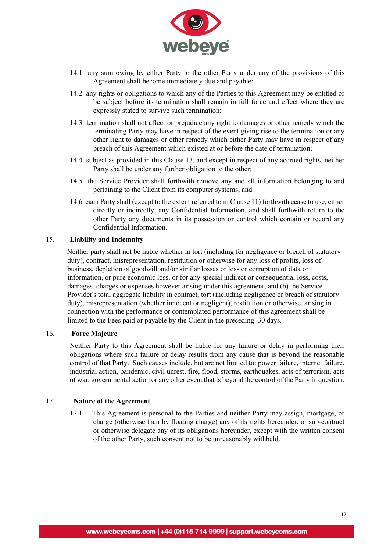

- 14.1 any sum owing by either Party to the other Party under any of the provisions of this Agreement shall become immediately due and payable;
- 14.2 any rights or obligations to which any of the Parties to this Agreement may be entitled or be subject before its termination shall remain in full force and effect where they are expressly stated to survive such termination;
- 14.3 termination shall not affect or prejudice any right to damages or other remedy which the terminating Party may have in respect of the event giving rise to the termination or any other right to damages or other remedy which either Party may have in respect of any breach of this Agreement which existed at or before the date of termination;
- 14.4 subject as provided in this Clause 13, and except in respect of any accrued rights, neither Party shall be under any further obligation to the other;
- 14.5 the Service Provider shall forthwith remove any and all information belonging to and pertaining to the Client from its computer systems; and
- 14.6 each Party shall (except to the extent referred to in Clause 11) forthwith cease to use, either directly or indirectly, any Confidential Information, and shall forthwith return to the other Party any documents in its possession or control which contain or record any Confidential Information.

## 15. **Liability and Indemnity**

Neither party shall not be liable whether in tort (including for negligence or breach of statutory duty), contract, misrepresentation, restitution or otherwise for any loss of profits, loss of business, depletion of goodwill and/or similar losses or loss or corruption of data or information, or pure economic loss, or for any special indirect or consequential loss, costs, damages, charges or expenses however arising under this agreement; and (b) the Service Provider's total aggregate liability in contract, tort (including negligence or breach of statutory duty), misrepresentation (whether innocent or negligent), restitution or otherwise, arising in connection with the performance or contemplated performance of this agreement shall be limited to the Fees paid or payable by the Client in the preceding 30 days.

## 16. **Force Majeure**

Neither Party to this Agreement shall be liable for any failure or delay in performing their obligations where such failure or delay results from any cause that is beyond the reasonable control of that Party. Such causes include, but are not limited to: power failure, internet failure, industrial action, pandemic, civil unrest, fire, flood, storms, earthquakes, acts of terrorism, acts of war, governmental action or any other event that is beyond the control of the Party in question.

#### 17. **Nature of the Agreement**

17.1 This Agreement is personal to the Parties and neither Party may assign, mortgage, or charge (otherwise than by floating charge) any of its rights hereunder, or sub-contract or otherwise delegate any of its obligations hereunder, except with the written consent of the other Party, such consent not to be unreasonably withheld.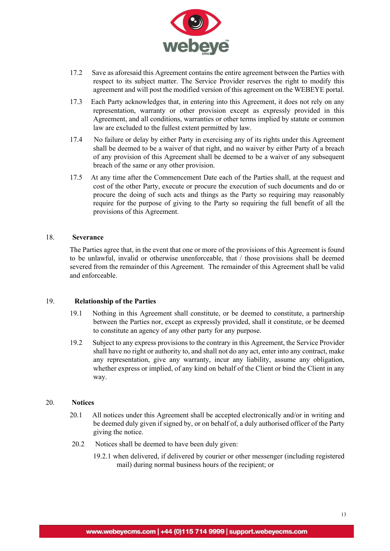

- 17.2 Save as aforesaid this Agreement contains the entire agreement between the Parties with respect to its subject matter. The Service Provider reserves the right to modify this agreement and will post the modified version of this agreement on the WEBEYE portal.
- 17.3 Each Party acknowledges that, in entering into this Agreement, it does not rely on any representation, warranty or other provision except as expressly provided in this Agreement, and all conditions, warranties or other terms implied by statute or common law are excluded to the fullest extent permitted by law.
- 17.4 No failure or delay by either Party in exercising any of its rights under this Agreement shall be deemed to be a waiver of that right, and no waiver by either Party of a breach of any provision of this Agreement shall be deemed to be a waiver of any subsequent breach of the same or any other provision.
- 17.5 At any time after the Commencement Date each of the Parties shall, at the request and cost of the other Party, execute or procure the execution of such documents and do or procure the doing of such acts and things as the Party so requiring may reasonably require for the purpose of giving to the Party so requiring the full benefit of all the provisions of this Agreement.

## 18. **Severance**

The Parties agree that, in the event that one or more of the provisions of this Agreement is found to be unlawful, invalid or otherwise unenforceable, that / those provisions shall be deemed severed from the remainder of this Agreement. The remainder of this Agreement shall be valid and enforceable.

## 19. **Relationship of the Parties**

- 19.1 Nothing in this Agreement shall constitute, or be deemed to constitute, a partnership between the Parties nor, except as expressly provided, shall it constitute, or be deemed to constitute an agency of any other party for any purpose.
- 19.2 Subject to any express provisions to the contrary in this Agreement, the Service Provider shall have no right or authority to, and shall not do any act, enter into any contract, make any representation, give any warranty, incur any liability, assume any obligation, whether express or implied, of any kind on behalf of the Client or bind the Client in any way.

#### 20. **Notices**

- 20.1 All notices under this Agreement shall be accepted electronically and/or in writing and be deemed duly given if signed by, or on behalf of, a duly authorised officer of the Party giving the notice.
- 20.2 Notices shall be deemed to have been duly given:
	- 19.2.1 when delivered, if delivered by courier or other messenger (including registered mail) during normal business hours of the recipient; or